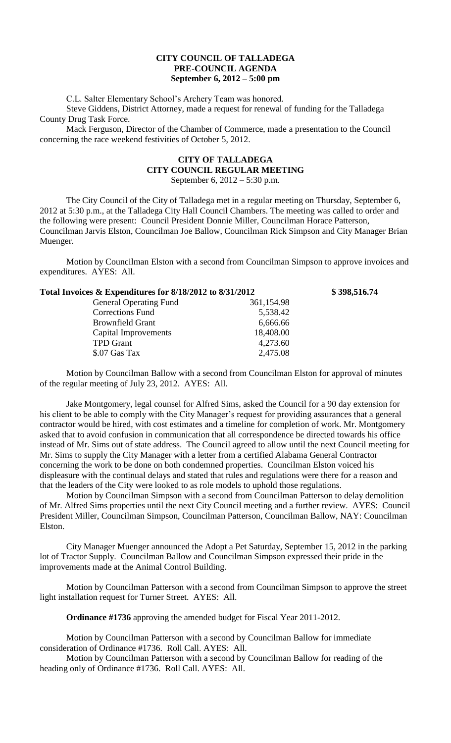## **CITY COUNCIL OF TALLADEGA PRE-COUNCIL AGENDA September 6, 2012 – 5:00 pm**

C.L. Salter Elementary School's Archery Team was honored.

Steve Giddens, District Attorney, made a request for renewal of funding for the Talladega County Drug Task Force.

Mack Ferguson, Director of the Chamber of Commerce, made a presentation to the Council concerning the race weekend festivities of October 5, 2012.

## **CITY OF TALLADEGA CITY COUNCIL REGULAR MEETING** September 6, 2012 – 5:30 p.m.

The City Council of the City of Talladega met in a regular meeting on Thursday, September 6, 2012 at 5:30 p.m., at the Talladega City Hall Council Chambers. The meeting was called to order and the following were present: Council President Donnie Miller, Councilman Horace Patterson, Councilman Jarvis Elston, Councilman Joe Ballow, Councilman Rick Simpson and City Manager Brian Muenger.

Motion by Councilman Elston with a second from Councilman Simpson to approve invoices and expenditures. AYES: All.

| Total Invoices & Expenditures for 8/18/2012 to 8/31/2012 |            | \$398,516.74 |
|----------------------------------------------------------|------------|--------------|
| <b>General Operating Fund</b>                            | 361,154.98 |              |
| <b>Corrections Fund</b>                                  | 5,538.42   |              |
| <b>Brownfield Grant</b>                                  | 6,666.66   |              |
| Capital Improvements                                     | 18,408.00  |              |
| <b>TPD</b> Grant                                         | 4,273.60   |              |
| \$.07 Gas Tax                                            | 2,475.08   |              |

Motion by Councilman Ballow with a second from Councilman Elston for approval of minutes of the regular meeting of July 23, 2012. AYES: All.

Jake Montgomery, legal counsel for Alfred Sims, asked the Council for a 90 day extension for his client to be able to comply with the City Manager's request for providing assurances that a general contractor would be hired, with cost estimates and a timeline for completion of work. Mr. Montgomery asked that to avoid confusion in communication that all correspondence be directed towards his office instead of Mr. Sims out of state address. The Council agreed to allow until the next Council meeting for Mr. Sims to supply the City Manager with a letter from a certified Alabama General Contractor concerning the work to be done on both condemned properties. Councilman Elston voiced his displeasure with the continual delays and stated that rules and regulations were there for a reason and that the leaders of the City were looked to as role models to uphold those regulations.

Motion by Councilman Simpson with a second from Councilman Patterson to delay demolition of Mr. Alfred Sims properties until the next City Council meeting and a further review. AYES: Council President Miller, Councilman Simpson, Councilman Patterson, Councilman Ballow, NAY: Councilman Elston.

City Manager Muenger announced the Adopt a Pet Saturday, September 15, 2012 in the parking lot of Tractor Supply. Councilman Ballow and Councilman Simpson expressed their pride in the improvements made at the Animal Control Building.

Motion by Councilman Patterson with a second from Councilman Simpson to approve the street light installation request for Turner Street. AYES: All.

**Ordinance #1736** approving the amended budget for Fiscal Year 2011-2012.

Motion by Councilman Patterson with a second by Councilman Ballow for immediate consideration of Ordinance #1736. Roll Call. AYES: All.

Motion by Councilman Patterson with a second by Councilman Ballow for reading of the heading only of Ordinance #1736. Roll Call. AYES: All.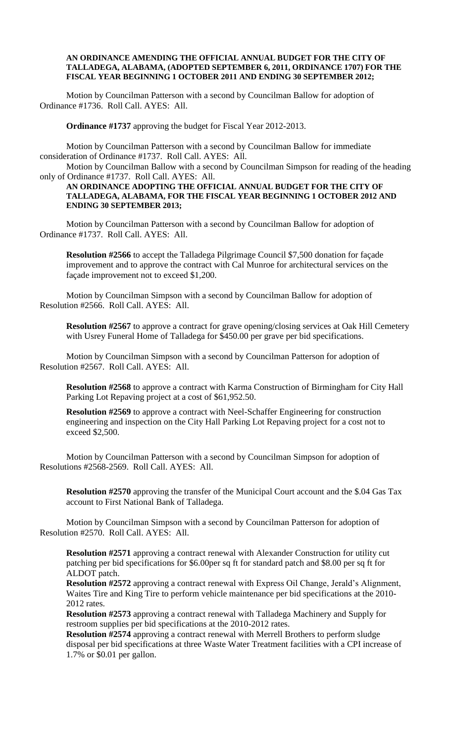## **AN ORDINANCE AMENDING THE OFFICIAL ANNUAL BUDGET FOR THE CITY OF TALLADEGA, ALABAMA, (ADOPTED SEPTEMBER 6, 2011, ORDINANCE 1707) FOR THE FISCAL YEAR BEGINNING 1 OCTOBER 2011 AND ENDING 30 SEPTEMBER 2012;**

Motion by Councilman Patterson with a second by Councilman Ballow for adoption of Ordinance #1736. Roll Call. AYES: All.

**Ordinance #1737** approving the budget for Fiscal Year 2012-2013.

Motion by Councilman Patterson with a second by Councilman Ballow for immediate consideration of Ordinance #1737. Roll Call. AYES: All.

Motion by Councilman Ballow with a second by Councilman Simpson for reading of the heading only of Ordinance #1737. Roll Call. AYES: All.

**AN ORDINANCE ADOPTING THE OFFICIAL ANNUAL BUDGET FOR THE CITY OF TALLADEGA, ALABAMA, FOR THE FISCAL YEAR BEGINNING 1 OCTOBER 2012 AND ENDING 30 SEPTEMBER 2013;**

Motion by Councilman Patterson with a second by Councilman Ballow for adoption of Ordinance #1737. Roll Call. AYES: All.

**Resolution #2566** to accept the Talladega Pilgrimage Council \$7,500 donation for façade improvement and to approve the contract with Cal Munroe for architectural services on the façade improvement not to exceed \$1,200.

Motion by Councilman Simpson with a second by Councilman Ballow for adoption of Resolution #2566. Roll Call. AYES: All.

**Resolution #2567** to approve a contract for grave opening/closing services at Oak Hill Cemetery with Usrey Funeral Home of Talladega for \$450.00 per grave per bid specifications.

Motion by Councilman Simpson with a second by Councilman Patterson for adoption of Resolution #2567. Roll Call. AYES: All.

**Resolution #2568** to approve a contract with Karma Construction of Birmingham for City Hall Parking Lot Repaving project at a cost of \$61,952.50.

**Resolution #2569** to approve a contract with Neel-Schaffer Engineering for construction engineering and inspection on the City Hall Parking Lot Repaving project for a cost not to exceed \$2,500.

Motion by Councilman Patterson with a second by Councilman Simpson for adoption of Resolutions #2568-2569. Roll Call. AYES: All.

**Resolution #2570** approving the transfer of the Municipal Court account and the \$.04 Gas Tax account to First National Bank of Talladega.

Motion by Councilman Simpson with a second by Councilman Patterson for adoption of Resolution #2570. Roll Call. AYES: All.

**Resolution #2571** approving a contract renewal with Alexander Construction for utility cut patching per bid specifications for \$6.00per sq ft for standard patch and \$8.00 per sq ft for ALDOT patch.

**Resolution #2572** approving a contract renewal with Express Oil Change, Jerald's Alignment, Waites Tire and King Tire to perform vehicle maintenance per bid specifications at the 2010- 2012 rates.

**Resolution #2573** approving a contract renewal with Talladega Machinery and Supply for restroom supplies per bid specifications at the 2010-2012 rates.

**Resolution #2574** approving a contract renewal with Merrell Brothers to perform sludge disposal per bid specifications at three Waste Water Treatment facilities with a CPI increase of 1.7% or \$0.01 per gallon.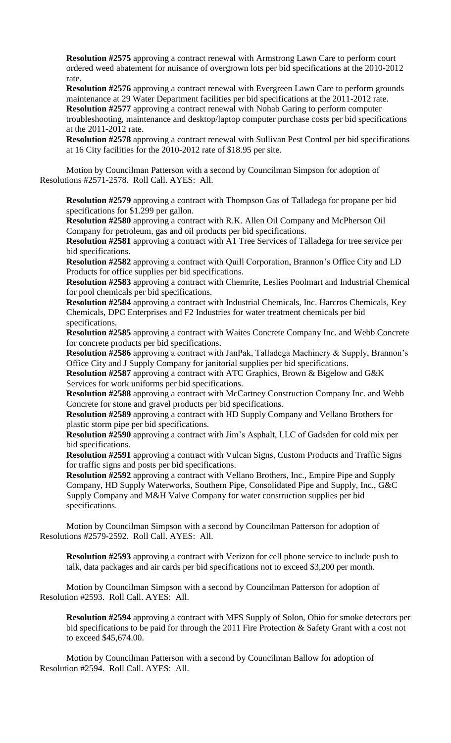**Resolution #2575** approving a contract renewal with Armstrong Lawn Care to perform court ordered weed abatement for nuisance of overgrown lots per bid specifications at the 2010-2012 rate.

**Resolution #2576** approving a contract renewal with Evergreen Lawn Care to perform grounds maintenance at 29 Water Department facilities per bid specifications at the 2011-2012 rate. **Resolution #2577** approving a contract renewal with Nohab Garing to perform computer troubleshooting, maintenance and desktop/laptop computer purchase costs per bid specifications at the 2011-2012 rate.

**Resolution #2578** approving a contract renewal with Sullivan Pest Control per bid specifications at 16 City facilities for the 2010-2012 rate of \$18.95 per site.

Motion by Councilman Patterson with a second by Councilman Simpson for adoption of Resolutions #2571-2578. Roll Call. AYES: All.

**Resolution #2579** approving a contract with Thompson Gas of Talladega for propane per bid specifications for \$1.299 per gallon.

**Resolution #2580** approving a contract with R.K. Allen Oil Company and McPherson Oil Company for petroleum, gas and oil products per bid specifications.

**Resolution #2581** approving a contract with A1 Tree Services of Talladega for tree service per bid specifications.

**Resolution #2582** approving a contract with Quill Corporation, Brannon's Office City and LD Products for office supplies per bid specifications.

**Resolution #2583** approving a contract with Chemrite, Leslies Poolmart and Industrial Chemical for pool chemicals per bid specifications.

**Resolution #2584** approving a contract with Industrial Chemicals, Inc. Harcros Chemicals, Key Chemicals, DPC Enterprises and F2 Industries for water treatment chemicals per bid specifications.

**Resolution #2585** approving a contract with Waites Concrete Company Inc. and Webb Concrete for concrete products per bid specifications.

**Resolution #2586** approving a contract with JanPak, Talladega Machinery & Supply, Brannon's Office City and J Supply Company for janitorial supplies per bid specifications.

**Resolution #2587** approving a contract with ATC Graphics, Brown & Bigelow and G&K Services for work uniforms per bid specifications.

**Resolution #2588** approving a contract with McCartney Construction Company Inc. and Webb Concrete for stone and gravel products per bid specifications.

**Resolution #2589** approving a contract with HD Supply Company and Vellano Brothers for plastic storm pipe per bid specifications.

**Resolution #2590** approving a contract with Jim's Asphalt, LLC of Gadsden for cold mix per bid specifications.

**Resolution #2591** approving a contract with Vulcan Signs, Custom Products and Traffic Signs for traffic signs and posts per bid specifications.

**Resolution #2592** approving a contract with Vellano Brothers, Inc., Empire Pipe and Supply Company, HD Supply Waterworks, Southern Pipe, Consolidated Pipe and Supply, Inc., G&C Supply Company and M&H Valve Company for water construction supplies per bid specifications.

Motion by Councilman Simpson with a second by Councilman Patterson for adoption of Resolutions #2579-2592. Roll Call. AYES: All.

**Resolution #2593** approving a contract with Verizon for cell phone service to include push to talk, data packages and air cards per bid specifications not to exceed \$3,200 per month.

Motion by Councilman Simpson with a second by Councilman Patterson for adoption of Resolution #2593. Roll Call. AYES: All.

**Resolution #2594** approving a contract with MFS Supply of Solon, Ohio for smoke detectors per bid specifications to be paid for through the 2011 Fire Protection & Safety Grant with a cost not to exceed \$45,674.00.

Motion by Councilman Patterson with a second by Councilman Ballow for adoption of Resolution #2594. Roll Call. AYES: All.